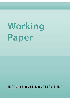# Working Paper

## INTERNATIONAL MONETARY FUND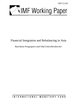WP/11/243



### Financial Integration and Rebalancing in Asia

*Runchana Pongsaparn and Olaf Unteroberdoerster* 

INTERNATIONAL MONETARY FUND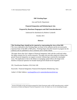#### **IMF Working Paper**

#### Asia and Pacific Department

#### **Financial Integration and Rebalancing in Asia**

#### Prepared by Runchana Pongsaparn and Olaf Unteroberdoerster<sup>1</sup>

Authorized for distribution by Roberto Cardarelli

October 2011

#### **Abstract**

**This Working Paper should not be reported as representing the views of the IMF.**  The views expressed in this Working Paper are those of the author(s) and do not necessarily represent those of the IMF or IMF policy. Working Papers describe research in progress by the author(s) and are published to elicit comments and to further debate.

The paper shows that Asia's degree of financial integration, both with the world and within the region remains low by various measures. The paper also provides empirical evidence that greater financial integration can support economic rebalancing in statistically meaningful ways. The implication is that in the debate on managing capital inflows the longer-term benefits of financial openness for broader-based growth should not be forgotten.

JEL Classification Numbers: E29; E44; G00

 $\overline{a}$ 

Keywords: Financial Integration; Financial Development; Rebalancing; Asia;

Author's E-Mail Address: runchanp@bot.or.th; ounteroberdoerster@imf.org

<sup>&</sup>lt;sup>1</sup> Section II.B builds on data and analysis prepared by Nujin Prasertsom under an IMF internship project, entitled: *Assessment of Global and Regional Financial Integration in Asia*. We thank Lesa Yee for formatting the paper.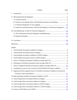<span id="page-3-1"></span><span id="page-3-0"></span>

|    | Contents                                                                             | Page |
|----|--------------------------------------------------------------------------------------|------|
| Ι. |                                                                                      |      |
|    |                                                                                      |      |
|    |                                                                                      |      |
|    |                                                                                      |      |
|    |                                                                                      |      |
|    | D. Capital Account Restrictions, Financial Development, and Financial Integration 21 |      |
|    |                                                                                      |      |
|    |                                                                                      |      |
|    |                                                                                      |      |
|    |                                                                                      |      |
|    |                                                                                      |      |
|    | Figures                                                                              |      |
| 1. |                                                                                      |      |
| 2. |                                                                                      |      |
| 3. |                                                                                      |      |
| 4. |                                                                                      |      |
| 5. |                                                                                      |      |
| 6. |                                                                                      |      |
|    | 7. Source of Regional Portfolio Investment Liabilities (average 2004–07)  10         |      |
| 8. | Contribution to year-on-year Growth of Total Portfolio Investment Liabilities  11    |      |
| 9. | Regional and Non-regional Sources of Portfolio Investment Liabilities (Corrected for |      |
|    |                                                                                      |      |
|    |                                                                                      |      |
|    |                                                                                      |      |
|    |                                                                                      |      |
|    |                                                                                      |      |
|    |                                                                                      |      |
|    |                                                                                      |      |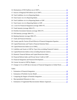|    | 28. Country-specific Factors (Fixed Effects) of Financial Integration Equation 19   |  |
|----|-------------------------------------------------------------------------------------|--|
|    |                                                                                     |  |
|    |                                                                                     |  |
|    | 31. Liabilities and Assets to GDP by Type (Asia excluding Financial Centers) 22     |  |
|    |                                                                                     |  |
|    |                                                                                     |  |
|    |                                                                                     |  |
|    |                                                                                     |  |
|    |                                                                                     |  |
|    | 37. Change in CA to GDP due to Increase of Financial Integration to Global Norm  28 |  |
|    | <b>Tables</b>                                                                       |  |
| 1. |                                                                                     |  |
| 2. |                                                                                     |  |
| 3. |                                                                                     |  |
| 4. |                                                                                     |  |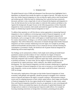#### **[I. INTRODUCTION](#page-3-0)**

<span id="page-5-0"></span>The global financial crisis of 2008 and subsequent Great Recession have highlighted Asia's dependence on demand from outside the region as an engine of growth. This paper sets out to show how further financial integration in Asia can help the region achieve more broad-based and resilient growth. While the need for rebalancing Asia's growth has been extensively discussed, and there is also a large body of work on financial development and integration in Asia, the link between the two has been subject to relatively little analysis and debate so far. Against this background, the paper focuses on the following questions: (i) How financially integrated are Asian economies, both outside and inside the region? (ii) What would be the impact on rebalancing of greater financial integration in Asia?

To address these questions we will first discuss various approaches to measuring financial integration in Asia. In addition to reviewing major trends of financial integration, we will assess the degree to which Asian economies are financially integrated compared with benchmarks, such as averages for other world regions or model-based norms which account for country characteristics. In doing so, we will also analyze the determinants of financial integration. This will be followed by a discussion of channels through which further financial integration can foster economic rebalancing across the region, for example by providing underserved households and firms better access to financial services and thus boosting low consumption or investment. Finally, the beneficial role of greater financial integration for rebalancing will be tested empirically.

Our findings can be summarized as follows: both simple stock-staking and model-based quantitative analysis provide evidence of Asia's relatively low degree of financial integration. Furthermore, our findings suggest that Asian economies tend to be more financially integrated with economies outside the region than inside, particularly with regard to portfolio investment. To some extent, the low degree of financial integration can be accounted for by capital restrictions, which, indirectly, also inhibit overall financial development. Yet, more financial integration can foster economic rebalancing in a significant way. If the degree of financial integration of Asia were to increase to a level implied by its trade integration, current account surpluses in the region would fall by about 1 percent of GDP on average.

The main policy implications of the paper are that further financial integration of Asian economies, both globally and regionally, should be pursued to strengthen Asia's domestic sources of growth and improve the region's economic resilience. With pressures rising in recent years for adopting measures to limit volatile capital inflows, these longer-term benefits of financial integration for the Asia region should not be forgotten. In other words, capital flows and financial integration should be viewed as an opportunity to start correcting growth imbalances. Policies are needed that improve the allocation of capital (both domestic and foreign) and are conducive to harnessing more long-term stable inflows, for example by lowering remaining restrictions on foreign direct investment, promoting private-public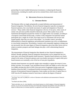<span id="page-6-0"></span>partnerships for much needed infrastructure investment, or enhancing the financial infrastructure, including for smaller and service-oriented firms which remain creditconstrained.

#### **[II. MEASURING FINANCIAL INTEGRATION](#page-3-0)**

#### **[A. Literature Review](#page-3-0)**

The literature offers no single and generally accepted definition and measurement of financial integration. Nevertheless, the term financial integration typically encompasses financial openness, free cross-border movement of capital and integration of financial services.<sup>2</sup> Many studies relate financial integration to the law of one price, where assets of similar risk and return profiles should be identically priced. Other studies focus on the institutional development towards the creation of a single market. For example, according to a European Central Bank (ECB) study, a market is fully integrated if all potential market participants face a single set of rules, have equal access to instruments and services and treated equally when they are active in the market.<sup>3</sup> In a broader context, prevailing differentiation in financial regulations and preferential treatments may serve as impediments to cross-border transactions. Nevertheless, countries with comparable regulatory settings may not necessarily have the same degree of financial integration, given that other factors such as relative economic prospects and trade linkages also play a role in determining financial integration.

The measurement of financial integration thus depends on how financial integration is defined. Broadly speaking, financial integration measurement can be categorized into two main types: price-based and quantity-based measures.<sup>4</sup> Quantity-based measures are closely related to the notion of financial openness and cross-border movement of capital while pricebased measures are essentially a test of the law-of-one-price hypothesis.

Quantity-based measures are typically simple ratios intended to capture the extent of crossborder activities. For example, Lane and Milesi-Ferretti (2003 and 2008) as well as Kim and Lee (2008) calculate the ratio to GDP of the total stocks of aggregate foreign assets and liabilities (from the IMF's Coordinated Portfolio Investment Survey (CPIS) database) as a measure of international financial integration. Some studies use the ratio of capital flows to GDP from the IFS database instead of stock data to indicate the degree of financial

 $\overline{a}$ 

<sup>&</sup>lt;sup>2</sup> See Fung, Tam, and Yu (2008) for a review of literature on the definition and measurement of financial integration.

 $3$  See Baele and others (2004).

<sup>&</sup>lt;sup>4</sup> Baele and others, op. cit., also identifies a news-based measure as a third category of financial integration measure. As an area of economies becomes more financially integrated and portfolios more diversified, the impact of idiosyncratic (or economy-specific), as opposed to area-wide, news becomes smaller.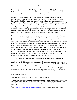<span id="page-7-0"></span>integration (see, for example, Vo (2005) and Edison and others (2002)). There are also indirect quantity-based measurements of financial integration, such as correlations of consumption patterns, which should increase with integration.<sup>5</sup>

Among price-based measures of financial integration, the ECB (2005) calculates crosscountry standard deviation of money market rates and bond yields from their respective benchmarks, which has been applied to Asia by Kim and Lee (2008). Adam and others (2002) proposed a "beta-convergence" measure of financial integration to capture the speed of convergence on government bond yields. Other price-based measures include, for example, dynamic co-integration analysis, a sensitivity indicator to measure the sensitivity of individual country's bond/equity market index to corresponding index in the United States compared to regional peers (Haldane and Hall, 1991), and a rolling concordance index to capture market cycle synchronization (Edward, Biscarri, and de Gracia, 2003).<sup>6</sup>

Both quantity-based and price-based measures have advantages and drawbacks. Although price-based measures provide a direct test on the degree of impediments to exploit crossborder arbitrage opportunities, they tend to rely on strong assumptions. For instance, the law of one price only works, if there are similar financial instruments across countries. However, in less-developed countries, comparable financial instruments may not be available, which inhibits a more comprehensive inclusion of these countries. In addition, under flexible exchange rates, expected exchange rate movements are also an important component of the overall risk-return profile. Quantity-based measures are simpler and more intuitive; nevertheless they are also subject to data availability constraints, although to a lesser extent. In addition, when these measures are applied across countries and regions, there is also a possibility of differentiated or nonstandardized treatment of data.<sup>7</sup>

#### **[B. Trends in Cross-Border Direct and Portfolio Investment, and Banking](#page-3-0)**

Mainly as a result of data limitations in a number of Asian economies, this paper employs quantity-based measures of financial integration in line with Lane and Milesi-Ferretti (2003). We consider cross-border transaction, of financial integration, in three dimensions—portfolio investment, direct investment, and cross-border bank transactions. Corresponding data sources are the IMF's CPIS database<sup>8</sup> (for stock of portfolio investment), United Nations

<sup>1</sup> <sup>5</sup> See Cowen and Salgado (2006).

<sup>6</sup> See Kasa (1992), Click and Plummer (2005) and Fung*,* Tam, and Yu, op. cit.

 $7$  For example, some countries (Australia, Japan, and Thailand) report foreign asset and liability positions by all sectors, namely banks, other financial institutions, general government and nonfinancial institutions sectors, while others (e.g., India, Indonesia, Malaysia and the Philippines) do not report holdings by general government.

<sup>&</sup>lt;sup>8</sup> See http://www.imf.org/external/np/sta/pi/datarsl.htm (Geographic break down Tables 8, 8.1 and 8.2).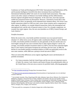Conference on Trade and Development (UNCTAD),<sup>9</sup> International Financial Statistics (IFS), and Economist Intelligence Unit (EIU) (for direct investment flows) and Bank for International Settlements  $(BIS)^{10}$  (for stock of cross-border bank transactions). These data sources also allow analysis of bilateral cross-border holdings and thus differentiation between regional and global financial integration. At the same time, stock data typically exhibit less pronounced short-run fluctuations. However, a drawback of stock data is that changes due to flows can generally not be separated from valuation effects. We review crossborder transactions relative to GDP over time, across Asian countries and in comparison to other regions. In addition, we consider bilateral transactions, both at the intraregional and interregional level, and the role of financial centers in Asia. For a broader comparison, we examine four major regions: Asia, the euro area (members as of 2001), Eastern Europe, and Latin America.<sup>11</sup>

#### *Portfolio Investment*

Before the recent crisis, cross-border portfolio investment was on an upward trend in absolute U.S. dollar-terms across all regions under consideration (Figures 1 and 2). Relative to GDP, cross-border portfolio investment was also generally on the rise and the ratio was much higher among the euro zone economies than in other regions (Figures 3 and 4). On average, cross-border portfolio investment relative to GDP in Asia has been somewhat higher than in Latin America and Eastern European but well below the euro zone. In 2008, the decline in cross-border portfolio investment (relative to GDP) was particularly severe in the euro zone countries, while 2009 saw a pickup to levels last seen in 2005.<sup>12</sup>

There are noteworthy differences across regions regarding the source and destination of portfolio investment.

 For Asian economies, both the United States and the euro area are important sources of funds. By contrast, Latin America and Eastern Europe rely predominantly either on the United States or the euro area as sources for portfolio funds, reflecting geographic

<sup>1</sup> <sup>9</sup> See http://unctadstat.unctad.org/ (Foreign Direct Investment Flows).

<sup>&</sup>lt;sup>10</sup> See http://www.bis.org/statistics/bankstats.htm (External positions of reporting banks vis-à-vis individual countries Table 6A).

<sup>&</sup>lt;sup>11</sup> Asia includes Australia, China, Hong Kong SAR, India, Indonesia, Japan, Korea, Malaysia, New Zealand, the Philippines, Singapore, Taiwan Province of China, Thailand, and Vietnam. The euro area includes Austria, Belgium, Finland, France, Germany, Greece, Ireland, Italy, Luxembourg, the Netherlands, Portugal, and Spain. Eastern Europe includes Bulgaria, Croatia, Czech Republic, Estonia, Hungary, Latvia, Lithuania, Poland, Romania, Slovak Republic, and Slovenia. Latin America includes Argentina, Bolivia, Brazil, Chile, Colombia, Mexico, Paraguay, Peru, Uruguay, and Venezuela.

 $12$  This may partly be a consequence of valuation changes due to dollar depreciation.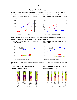<span id="page-9-0"></span>



Source: Coordinated Portfolio Investment Survey (CPIS); and staff calculations.



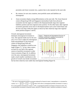proximity and closer economic ties, a pattern that is also repeated on the asset side.

- <span id="page-10-0"></span> By contrast, for euro area countries, most portfolio assets and liabilities are intraregional.
- Asian economies display strong differentiation on the asset side. The Asian financial centers (Hong Kong SAR and Singapore) intermediate funds from advanced economies into the region as evident in the disproportionally large inter-regional liabilities position and intra-regional assets position. On the other hand, other regional economies generally invest more in developed markets such as the United States and the euro area than within the region as shown by their relatively large inter-regional assets position (Figures 5 and 6).

Overall, interregional investment dominates intraregional investment in Asia. The opposite holds true for the euro area. If we were to adjust for interregional funds intermediated via the financial centers of Hong Kong SAR and Singapore, this imbalance would be even larger (Figure  $7$ ).<sup>13</sup> In fact, these centers, account for over half of the regional sources of portfolio investment in other Asian economies (Figure 8). In addition, over the years, intraregional investment made a much smaller contribution to the growth of overall cross-border investment

<u>.</u>



but has been relatively more stable than interregional funding (Figure 9).

<sup>&</sup>lt;sup>13</sup> The ratio of intraregional portfolio investment adjusted for financial centers' intermediation is calculated for country *i* as:  $1 \left[\left(\frac{nrPI_{i}}{PI_{i}}\right)+\right.$  $\left(\frac{nrPI_{fc}}{PI_{fc}} \times \frac{f_cPI_i}{PI_i}\right)$  where  $nrPI_i$  refers to nonregional portfolio investment in country *i*,  $PI_i$  is total portfolio investment in country *i*,  $nrPI_{fc}$  is nonregional portfolio investment in financial centers,  $PI_{fc}$ is total portfolio investment in financial centers, and *fcPIi* is financial centers' portfolio investment in country *i*.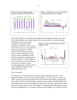<span id="page-11-0"></span>

The relatively low level of intraregional as opposed to interregional portfolio transactions likely reflects differences in market depth. In fact, the magnitude of cross-border equity

investment in Asia is much larger compared to investment in debt instruments, while the reverse is true in the case of the euro area. Compared with advanced economies, Asia's bond markets in particular have remained shallow. Based on BIS data for 2010, except for Korea and Malaysia, bond market capitalization in emerging Asia is less than 50 percent of GDP, compared with 173 percent in the United States and 107 percent in Europe. For other emerging regions the magnitude of both equity and debt investment is more comparable (Figure 10).



#### *Direct Investment*

Precrisis trends of cross-border direct investment flows in absolute terms have varied substantially, both over time and across regions (Figures 11 and 12). However, relative to GDP, a general upward trend prevails both in terms of inflows and outflows. Adjusting for the size of the economy, Eastern European countries seem to attract more FDI inflows than other regions and, somewhat surprisingly, FDI inflows into Asia have frequently been lower than into any other region in recent years (Figure 13. Regarding FDI outflows, the euro area has been the leading source of investment, followed by Asia (Figure 14). In 2008, FDI flows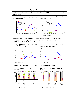<span id="page-12-0"></span>

**[Panel 2. Direct Investment](#page-3-0)**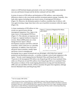<span id="page-13-0"></span>relative to GDP declined sharply particularly in the case of European economies (both the euro area and Eastern Europe) and the decline continued well into 2009.

In terms of sources of FDI inflows and destination of FDI outflows, some noteworthy differences relative to the cross-border portfolio investment patterns emerge: Generally, Asia leads other regions (including the euro area) in terms of intraregional FDI inflows (Figure 15). Moreover, the destination pattern of outflows resembles that of inflows, with Asia again investing a larger share than in the case of portfolio investment within the region (Figure 16).

A closer examination of FDI inflows in Asia reveals two special factors driving intraregional integration: First, Japan is the major source of intraregional FDI flows (Figure 17). This indicates an important role of Japan as a regional medium-to-long term investor. Blaise (2009) points out a close linkage between Japan's official development assistance and FDI in ASEAN economies, which could serve as a plausible explanation. In addition, firms from more advanced Asian economies, notably Japan and Korea, invest in emerging and



developing Asia to capture locational and cost advantages, which help form regional production and distribution networks—a corollary of greater vertical trade integration in the region.14 Second, round-tripping between Mainland China and Hong Kong SAR. Over 70 percent of all intraregional FDI inflows into Hong Kong SAR are from mainland China, while over 90 percent of total FDI outflows from Hong Kong SAR are to mainland China. This points to evidence of the round-tripping phenomenon (Leung and Unteroberdoerster, 2008; and Lane and Milesi-Ferretti, 2010) to maximize the gains from regulatory arbitrage between Mainland China and Hong Kong SAR.<sup>15</sup>

 $\overline{a}$ 

 $14$  See for example, IMF (2010).

<sup>&</sup>lt;sup>15</sup> Over 40 percent of intra-Asian FDI flows are FDI flows between China and Hong Kong SAR. From a statistical point of view, round tripping may inflate FDI flows, which should actually be classified as domestic investment. However, to the extent that these flows require the same services (e.g., legal, consulting, financial and advisory) as other FDI flows channeled through Hong Kong SAR they matter in measuring Hong Kong SAR's role as an international financial intermediary.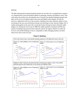#### <span id="page-14-0"></span>*Banking*

The BIS international locational banking statistics do not allow for a comprehensive analysis on a bilateral basis, given the limited number of reporting countries (including in Asia). That said, before the recent crisis, the absolute size of overall cross-border banking exposures has been on the rise for all regions both on the asset and liability sides (Figures 18 and 19). However, adjusted for the size of the economy, liabilities have been relatively stable in Asia, increasing in the euro area and Eastern Europe, but declining in Latin America (Figure 20). A similar trend applies to the asset side, except that Eastern Europe has been relatively stable (Figure 21). During the crisis years of 2008–09, unlike portfolio investment and FDI, the decline in banking exposures has been relatively mild in all regions. Relative to GDP, the level of cross-border banking in Asia is comparable to other emerging markets, but three times lower than in the euro area.



**[Panel 3. Banking](#page-3-0)**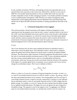<span id="page-15-0"></span>In sum, portfolio investment, FDI flows and banking activities have generally been on an upward trend in the years prior to the recent crisis, followed by a decline in crisis years of 2008–09. Cross-border financial positions in Asia are smaller than in the euro area, but broadly comparable to those of other emerging economies. Cross-border portfolio investment in Asia is predominantly interregional, while FDI flows are mainly intraregional, partly influenced by round-tripping phenomenon between Mainland China and Hong Kong SAR, and the role of Japan and other advanced economies in setting up production networks in the region.

#### **[C. Is Financial Integration in Asia Lagging?](#page-3-0)**

This section provides a formal assessment of the degree of financial integration in Asia, capturing not only the progress across time but also a country's position relative to the rest of the world. Given that both global and country-specific factors come into play in determining the degree of financial integration, we control for common factors that help explain global trends, and then construct measures that assess the extent to which countries deviate from normal levels of financial integration with the world. We explore two alternative measures of financial integration: the Z score and trade-financial relative intensity.

#### *Z score*

The *Z* score measures how far (how many standard deviations) an individual country's observation is from the global mean. Each individual country's observation is compared against the global mean and the dispersion from the mean is scaled by the global standard deviation. The observations reflect measures of financial integration discussed above, such as the ratio of cross-border portfolio investment assets to GDP. Z-score calculations implicitly take into account common global factors, such as a favorable global and financial environment, which may increase the overall cross-border financial activities of all countries. If the impact of a common global factor is symmetric across countries, the *Z* score will not change for an individual country. The *Z* score is defined as follows:

$$
z_{f, it} = \frac{(x_{f, it} - \bar{x}_{f, t})}{\sigma_{f, t}}
$$

Where  $z_{f,i}$  refers to a *Z* score for a measure of financial integration of country *i* at time *t*;  $x_{f,i}$ is a ratio of cross-border financial activity *f* to GDP of country *i* at time *t*.  $\bar{x}_{f,t}$  and  $\sigma_{f,t}$  refer to the mean and standard deviation across countries. The average global score for each type of cross-border financial activity is equal to zero (by construction). A positive Z score indicates that an individual country's ratio of cross-border financial activity to GDP is higher than the global average. For example, a z-score of 2 means the ratio is greater than the global average by two (global) standard deviations. The higher the score, the greater the ratio compared to the global average. The opposite is true for the negative score. To aggregate over different types of cross-border financial activities, we calculate the overall Z score for country *i* by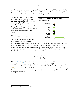simply averaging  $z_{\text{f,i}t}$  across the six types of cross-border financial activities discussed in the previous section, namely: portfolio investment liabilities, portfolio investment assets, FDI inflows, FDI outflows, banking liabilities and banking assets to GDP.

The average *z* score for Asia is close to the world's average and that of Eastern European countries but well below the euro area's (Figure 22). However, excluding the financial centers of Hong Kong SAR and Singapore, the average *Z* score for Asia is well below the world's average and closer to that of Latin America.

<span id="page-16-0"></span>16

#### *The role of trade integration*

Asian economies are highly integrated through trade. As trade in goods and



cross-border financial activities are found to have strong complementarities (Shin and Yang, 2006) one would also expect Asian economies to be also highly financially integrated. To account for this important country characteristic of Asian economies, we compare Asian economies' trade intensity with the intensity of their cross-border financial transactions.<sup>16</sup> Specifically, the intensity measure is calculated as follows:

$$
Intensity_{f, it} = \frac{\left(\frac{f_{it}}{\sum_{i=1}^{n} f_{it}}\right)}{\left(\frac{GDP_{it}}{\sum_{i=1}^{n} GDP_{it}}\right)}
$$

Where *Intensity*  $r_{\text{eff}}$  refers to intensity of trade or cross-border financial transactions of country *i* at time *t*. *n* is the number of economies in the sample and  $f_{it}$  is the sum of exports and imports or of cross-border financial assets and liabilities (or flows) of country *i* at time *t*. refers to Gross Domestic Product of country *i* at time *t* in U.S. dollars. In simple terms, the intensity measures a country's "footprint" in global trade or finance, relative to its weight in the global economy.

 $\overline{a}$ 

<sup>&</sup>lt;sup>16</sup> See Leung and Unteroberdoerster (2008).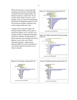<span id="page-17-0"></span>While trade intensity in Asia (especially emerging Asia) has been relatively high compared with other regions (Figure 23), financial intensity is much lower. In fact, an observation similar to that of z score emerges. Asia on average (excluding Hong Kong SAR and Singapore) appears to have lower financial intensity compared to the world average and the euro zone.

Looking closely within the region, the ranking somewhat differs across types of transaction (Figures 24, 25, and 26). If we compare intensity in banking and portfolio transaction, industrial Asia generally has greater intensity than emerging Asia but the opposite is true in the case of direct investment intensity—underscoring important difference in the composition of cross-border financial transaction across Asian economies.







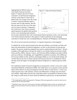Aggregating the different types of cross-border financial activities, Figure 27 captures the lack of Asian economies' overall financial integration with the world relative to their role in global trade. On average across the world, a country's financial intensity tends to increase with its trade intensity. But this does not seem to be the case in the same way for Asian economies. Compared to the world norm, most Asian economies' rapid expansion into global trade (position on the x-axis measuring trade intensity)

 $\overline{a}$ 



has not been matched by their role in international finance (position on the *y*-axis measuring cross-border financial intensity). This appears to hold in particular for the emerging economies of South East Asia, including Malaysia, Thailand, the Philippines, and Indonesia.

#### *The role of cyclical and structural factors: Is regional integration in Asia lagging?*

To identify the cyclical and structural factors that may influence cross-border activities and hence the measurement of financial integration, we draw on the literature of asset gravity models. The gravity model has originally been used to explain bilateral trade flows.<sup>17</sup> Recent examples of the application of the gravity model to cross-border financial activities include Portes and Rey (2005), Ahearne, Griever, and Warnock (2004), Dahlquist and others (2003) and Garcia-Herrero, Wooldridge, and Yang(2009) on portfolio investment, Wei (2000) and Di Giovanni (2005) on FDI, and Rose and Spiegel (2004) on cross-border bank lending. We will first discuss the role of country-specific and structural factors in a multilateral context and then assess the degree of intraregional financial integration in a bilateral gravity model setup. $18$ 

Our multilateral model of financial integration (as measured by overall z score) uses a panel Generalized Methods of Moments (GMM). The model allows us to separate country-specific effects (fixed effects) on financial integration from the effects of other drivers—in this case, relative growth rates, trade openness, interest rate differentials, exchange rate movements, and volatility. High relative growth rate could either induce accumulation of financial assets (by acting as a push factor) or attract financial liabilities (a pull factor). As discussed above,

<span id="page-18-0"></span>18

 $17$  The original gravity model was proposed by Tinbergen (1962) and augmented to account for trade costs by Anderson and Van Wincoop (2004).

 $18$  Multilateral trade is the sum of total exports and imports. Multilateral relative returns are calculated as the difference between domestic short-term interest rate and GDP-weighted short-term rates for the rest of the world.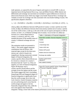<span id="page-19-0"></span>trade openness, as captured by the sum of imports and exports to overall GDP, is also an important factor driving financial flows (e.g., Lane and Milesi-Ferretti, 2008). Interest rate differentials and exchange rate movement are included to capture differences in returns on (short-term) financial assets which may trigger cross-border financial flows. Exchange rate volatility accounts for exchange rate risks associated with cross-border holding of assets. The specification adopted is therefore:

$$
z_{it} = \beta_0 + \text{fixed effects}_i + \beta_1(g \text{ diff}_{it}) + \beta_2(\text{int diff}_{it}) + \beta_3(\text{trade} op_{it}) + \beta_4(\Delta \ln(er_{it})) + \beta_5Vol_{it} + \varepsilon_{it}
$$

where g  $diff_{it}$  is the difference between GDP growth of country *i* at time *t* and the rest of the world, *int diff<sub>it</sub>* is the difference between short-term (money market) rate of country *i* and the rest of the world at time *t*, *trade op<sub>it</sub>* is the ratio of the sum of exports and imports to GDP of country *i* at time *t*,  $er_{it}$  is bilateral exchange rate of country *i* vis-à-vis the U.S. dollar (an

increase in *er<sub>it</sub>* means depreciation in country *i*'s currency), and  $Vol_{it}$  is the standard deviation of the monthly return of country *i*'s bilateral exchange rate over year *t*.

The estimation results are presented in Table 1. The results suggest important contributions from all factors, with expected signs except for the short-term interest rate, which is found to be insignificant. Having constructed a normal degree of financial integration, the country-specific effects (fixed effects) can be viewed as a measure of a country's deviation from the "norm" or, if they are negative, of a lack of financial integration. Figure 28 illustrates Asia's country-specific (fixed) effects and the averages across the regions and the world. The results suggest that Asia's (excluding Hong Kong SAR and Singapore) degree of financial integration is significantly lower than the world average, but in line with Latin America. Eastern European countries are now performing much worse than the world average and appear to be less financially integrated than Asia, while the euro zone appears more financially

| Table 1. Estimation of Financial Integration        |             |  |  |
|-----------------------------------------------------|-------------|--|--|
| Dependent variable: financial integration score (z) |             |  |  |
| Variable                                            | Coefficient |  |  |
| Constant                                            | $-0.176$    |  |  |
|                                                     | $(-2.324)$  |  |  |
| $\Delta$ In(exchange rate)                          | $-0.303$    |  |  |
|                                                     | $(-2.260)$  |  |  |
| Trade to GDP ratio                                  | 0.324       |  |  |
|                                                     | (2.706)     |  |  |
| Relative GDP growth                                 | 0.036       |  |  |
|                                                     | (2.048)     |  |  |
| Relative short term interest rate                   | $-0.018$    |  |  |
|                                                     | $(-0.935)$  |  |  |
| Exchange rate volatility                            | $-1.846$    |  |  |
|                                                     | $(-6.386)$  |  |  |
| Number of observations                              | 266         |  |  |
| Adjusted $R^2$                                      | 0.95        |  |  |
| Note: t-statistic in brackets                       |             |  |  |
|                                                     |             |  |  |



integrated. Taking a closer look at the relative performance across Asian economies, we find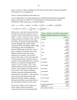<span id="page-20-0"></span>again, as is the case when controlling for trade alone, that the degree of financial integration is particularly low in emerging Asia.

#### *Is Asia's regional integration abnormally low?*

In our second model, we examine determinants of bilateral portfolio financial integration based on CPIS data over 2004–07. The following form of financial gravity model is estimated for 1,809 country pairs, covering all regions:

*it k*  $k \sum \delta^{i}$ <sup>*k*</sup> *k*  $+ \mu_7(\Delta \ln(er_{ijt})) + \mu_8 Vol_{ijt} + \mu_{9,k} \sum_{k=1}^4 region_k + \mu_{10,k} \sum_{k=1}^4 global_k + \varepsilon$  $port_{ijt} = \mu_0 + \mu_1 dist_{ij} + \mu_2 lang_{ij} + \mu_3 colony_{ij} + \mu_4 trade_{ijt} + \mu_5 (g \text{ diff}_{ijt}) + \mu_6 (int diff_{ijt})$ 1 ,10 4 1  $\mu_7(\Delta \ln(er_{ijt})) + \mu_8 Vol_{ijt} + \mu_{9,1}$ 

Where *portijt* is the ratio (in percent) of total portfolio assets between countries *i* and *j* to countries *i* and *j*'s total GDP at time *t* (source: CPIS),  $\mu$  refers to coefficients, *dist<sub>ij</sub>* is the log of distance between countries *i* and *j*, *langij* and *colonyij* are dummy variables indicating common language and colonial relation respectively (Rose and Spiegel, 2004), *g diffijt* is the absolute value of the difference between GDP growth of countries *i* and *j* at time  $t$ , *int diff<sub>ijt</sub>* is the absolute value of the difference between short-term (money market) rate of countries *i* and *j* at time *t* (source: IFS), *tradeijt* is the ratio (in percent) of total exports between countries *i* and *j* to countries *i* and *j*'s total GDP at time *t* (source: DOTS), *er<sub>ijt</sub>* is bilateral exchange rate of country *i* vis-à-vis country *j*, *Volijt* is the standard deviation of the monthly return of country *i* and *j*'s bilateral exchange rate over year *t* (source: IFS), *regionk* are dummy variables capturing intraregional portfolio transaction for each regions—Asia, euro area, Latin America and Eastern Europe, and *globalk* are dummy variables capturing interregional portfolio transactions between the four regions and the rest of the world.

The results in Tables 2 and 3 confirm our earlier simple evidence on portfolio transaction that Asia is less integrated than

| Table 2. Estimation of Portfolio Gravity Model     |                         |  |
|----------------------------------------------------|-------------------------|--|
| Dependent variable: portfolio assets to GDP (port) |                         |  |
| Variable                                           | Coefficient             |  |
| Constant                                           | 0.311<br>(5.530)        |  |
| Lang                                               | 0.262<br>(5.804)        |  |
| Colony                                             | 0.716<br>(26.002)       |  |
| Dist                                               | $-0.003$<br>$(-2.141)$  |  |
| Trade                                              | 0.654<br>(24.553)       |  |
| Vol                                                | $-3.068$<br>$(-4.045)$  |  |
| Asia-global                                        | $-0.070$<br>$(-6.104)$  |  |
| Euro-global                                        | 0.119<br>(18.037)       |  |
| LatAm-global                                       | $-0.168$<br>$(-3.704)$  |  |
| EEur-global                                        | $-0.278$<br>$(-5.251)$  |  |
| Asia-regional                                      | $-0.805$<br>$(-18.208)$ |  |
| Euro-regional                                      | 2.878<br>(20.811)       |  |
| LatAm-regional                                     | $-0.603$<br>$(-6.301)$  |  |
| EEur-regional                                      | $-0.863$<br>$(-9.857)$  |  |
| Number of observations<br>Adjusted $R^2$           | 5,292<br>0.41           |  |
| Note: t-statistic in brackets                      |                         |  |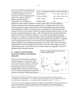<span id="page-21-0"></span>the euro area both on intraregional and interregional fronts, but that the level of regional integration is also low compared with other emerging market regions. The estimation follows a general-to-specific approach, consequently, a few variables were

| Table 3. Comparing the Degree of Portfolio Integration |                                    |  |  |
|--------------------------------------------------------|------------------------------------|--|--|
| Global integration                                     | euro > Asia $\approx$ LatAm > EEur |  |  |
| Regional integration                                   | euro > LatAm > Asia $\approx$ FEur |  |  |
| Global > regional                                      | Asia, LatAm, EEur                  |  |  |
| Regional > global                                      | euro                               |  |  |

dropped due to their statistical insignificance and/or incorrect signs. The result suggests an important contribution from noneconomic regional factors—the distance between countries, common languages as well as colonial relation. In line with the global model estimated earlier, trade integration and volatility in exchange rate play an important role in determining portfolio transaction. Moreover, the estimated coefficients on regional and global dummies allow us to rank the degree of portfolio integration by region—both on intraregional and interregional dimensions. Based on the Wald test of coefficient restriction.<sup>19</sup> we are able to rank the degree of portfolio integration across regions and compare the degree of intra and interregional integration (Table 3). All regions except the euro area tend to be more integrated globally than regionally. In comparison to other emerging market regions, Asia fares relatively well in global integration but less so in regional integration. In fact, anything else being equal, for any intra-Asian country pair, financial integration tends to be 0.8 percentage points of GDP lower than the world average, a measure of underperformance that is worse than for the Latin America region, but comparable to the case of emerging Eastern European economies.

#### **D. Capital Account Restrictions, [Financial Development, and Financial](#page-3-0)  Integration**

One reason for the abnormally low degree of financial integration in Asia could be capital account restrictions in a number of countries. In fact, measures of de jure restrictions on crossborder financial transactions developed by Schindler  $(2009)$ <sup>20</sup> and the measures assessing the lack of financial integration developed in the previous are positively correlated (see Figure 29

 $\overline{a}$ 



<sup>&</sup>lt;sup>19</sup> We perform the Wald test of coefficient restriction with the null hypothesis of no difference in two coefficients under consideration  $(c_1 = c_2)$ . If the test cannot reject the null at 1-percent significance level, the two coefficients are comparable  $(c_1 \approx c_2)$ , otherwise, they can be ranked—either  $c_1 > c_2$  or  $c_1 < c_2$ .

 $20$  The index was constructed based on information contained in the Annual Report on Exchange Arrangements and Exchange Restrictions (AREAER) published by the IMF and dubbed 'financial integration index'. However, since this measure captures de jure controls but not de facto outcome, we view the index as an indicator of capital restrictions.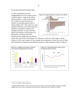<span id="page-22-0"></span>for the trade and financial intensity ratio).

A closer examination at a more disaggregated level of the capital account restriction indices—both on the inflows and the outflows—yields an interesting fact. Capital account restrictions on outflows are generally greater than on inflows (Figure  $30$ ).<sup>21</sup> This results in a clear imbalance between cross-border assets and liabilities in portfolio investment and banking transaction, as well as between inflows and outflows of FDI (Figure 31). Restrictions on inflows have been liberalized more rapidly than on outflows



in the wake of the Asian crisis (Figure  $32$ ).<sup>22</sup> However, in the face of the surge in capital inflows in 2010, some countries in Asia, namely Korea, Indonesia, Taiwan Province of China and Thailand have adopted macroprudential measures to help manage the inflows (Table 4).



 $\overline{a}$ 

 $21$  This is as of 2005, when the data end.

 $^{22}$  Between 2000 and 2005, capital restriction index on the inflow side increased slightly. Based on Schindler (2009) index, this was due to restrictions on bond inflows in India and a few countries in ASEAN.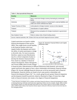<span id="page-23-0"></span>

| Table 4. Macroprudential Measures                                                            |                                                                                                                  |  |  |
|----------------------------------------------------------------------------------------------|------------------------------------------------------------------------------------------------------------------|--|--|
| <b>Country</b>                                                                               | <b>Measures</b>                                                                                                  |  |  |
| Korea                                                                                        | Rein in short-term foreign currency borrowing by commercial<br>banks                                             |  |  |
| Indonesia                                                                                    | Lengthen maturity structure of central bank's external liabilities and<br>make one-month certificate less liquid |  |  |
| Taiwan Province of China                                                                     | Limits placed on foreign investors' access to time deposits                                                      |  |  |
| Thailand                                                                                     | Liberalization of capital outflows                                                                               |  |  |
| Thailand                                                                                     | Removal of tax exemptions for foreign investment in government<br>bonds                                          |  |  |
| New Zealand, Korea                                                                           | Rules to reduce risks of bank funding strains                                                                    |  |  |
| Sources: National authorities; IMF, October 2010 Asia and Pacific Regional Economic Outlook. |                                                                                                                  |  |  |

Capital restrictions are found to inhibit financial development (Chinn and Ito, 2002). They might lessen overall liquidity in the financial markets which may impede further development and restrict the ability of market participants to hedge or diversify risks. For most economies, therefore, capital account liberalization may be a critical component of plans to develop the domestic financial market. First, based on a database of financial reforms developed by Abiad, Detragiache, and Tressel (2008) which records changes

 $\overline{a}$ 



in financial policy (liberalization) in different dimensions (both domestic and external), capital restrictions also appear to have a direct relationship with domestic financial reforms (Figure 33). Second, although financial reforms per se do not necessarily lead to financial development, financial reforms are found to have some positive relationship with financial development (Figure  $34$ ).<sup>23</sup> As a result, going forward, greater financial integration and development should be positively related as illustrated in Figure 35 (note that a high trade-to-financial intensity ratio means a low degree of financial integration).

 $23$  Some literature investigates micro evidence and relates financial reforms to financial development by means of relaxing financing constraints and found some supporting evidence (see for example, Ghosh, 2006 on India) and dissimilar impacts on small and large firms based on cross-country study by Laeven (2000). Abiad and others (2004) found evidence that financial reforms improve allocative efficiency based on firm-level data for five emerging markets.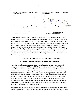<span id="page-24-0"></span>

To summarize, this section introduces two different model-based measures of the degree of financial integration—the z score measure and trade-financial intensity ratios—and provides model-based benchmarks against which the degree of financial integration is compared. All measures arrive at the same conclusion: Asian economies, particularly emerging Asia (except the financial centers of Hong Kong SAR and Singapore), appear to have a low degree of financial integration, both in terms of integration with the world and with other countries inside Asia. A low degree of financial integration or openness tends to be mirrored by a lack of financial development. This linkage serves as an important channel through which the degree of financial integration can help foster rebalancing in Asia, which will be discussed in the following section.

#### **III. ASIA REBALANCING: A [ROLE FOR FINANCIAL INTEGRATION?](#page-3-0)**

#### **[A. The Link Between Financial Integration and Rebalancing](#page-3-0)**

Growth in Asia depends on external demand more than other advanced economies and emerging market regions (Mohommad*,* N'Diaye, and Unteroberdoerster, 2010). This dependence has led to an unbalanced production structure that is heavily tilted towards industry. From a demand side-perspective, only a few economies seem to have excessively low consumption, most notably China, while several others may well need to increase their investment-to-GDP ratios from current levels. However, in many economies strengthening domestic sources of growth will require boosting productivity of the services sector. Overall, economic rebalancing will mean different things for different countries and encompass comprehensive policy packages that foster investment in domestic demand oriented sectors such as services, in infrastructure which would enhance productivity and crowd in private investment, and measures to boost consumption.

Greater financial integration in Asia can play an important role in strengthening the domestic source of growth. For example, by inducing more competition in sheltered banking systems it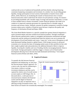<span id="page-25-0"></span>could provide access of underserved households and firms thereby reducing financing constraints hampering consumption and investment. In a similar vein, by providing greater liquidity, foreign participation in local currency bond markets is found to lower yields (Peiris, 2010). Moreover, by facilitating the transfer of financial know-how it fosters financial innovation which could lessen the motives for precautionary savings, for instance by providing households with a broader range of savings and insurance instruments, or result in more suitable forms to finance investment. Greater financial openness also tends to be conducive to improved corporate governance by exposing firms to a broader range of investors and investor classes. Similarly, pressure for greater transparency exerted by foreign investors reduces price volatility of financial assets because it improves the quality and frequency of information (Prasad and Rajan, 2008).

The Asian Bond Market Initiative is a specific example how greater financial integration is used to promote deeper and more resilient local financial markets. Through coordinated efforts between national policy makers to strengthen and harmonize institutional and legal frameworks and the setting up of pooled bond funds the initiative sets out to promote the development of local bond markets and create a "spare tire" in the event of disruptions to still bank-dominated funding channels or global finance. With foreign investors in advanced economies set to increase the share of emerging market assets in their portfolio (in line with their weight in global trade and production), the additional demand is likely to improve liquidity, lowering the volatility and cost of funding, thereby encouraging domestic firms to issue bonds. Foreign participation could thus trigger a virtuous cycle of bond market development allowing Asia to become less bank dominated and develop a "twin engine" financial system (Felman and others, 2010).

#### **[B. Empirical Estimates](#page-3-0)**

To quantify the link between financial integration and rebalancing, we start from the macroeconomic balance approach. On a macro scale, the need for rebalancing in Asia means a redress to savingsinvestment imbalances and thus can be captured by relative size of overall current account surplus to GDP (Figure 36). As discussed above, a wide spectrum of structural factors related to the financial system and the degree of financial integration can play an important role in affecting savings-investment norms. And



these factors are found to be economically meaningful. For example: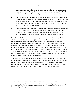- On investment, Nabar and Syed (2010) using firm-level data find that a 10 percent increase in the availability of finance would increase investment rates of small and medium-sized firms and those operating in the services sector by about 2 percent.
- On corporate savings, Jain-Chandra, Nabar, and Porter (2011) show that better access to funding markets can significantly lessen the need to rely on own funds and thus the incentives for corporate funding. They estimate that if Asia were to reach the average level of financial development of advanced economies, corporate savings would be lower by as much as 5 percent of GDP.
- On consumption, Jain-Chandra and Chamon (2011) argue that improving household's access to financial services provides a net boost to consumption. For China, they estimate that further financial reforms, including improving household's access to financial services, would raise private consumption by about 5 percent of GDP.<sup>24</sup>

Using the standard macroeconomic balance approach, we therefore test the hypothesis whether financial integration is among the set of important structural determinants of crosscountry variations in the current account balance. 25 Based on this approach, structural determinants of the current account balance include old age dependency ratio, population growth, income, income growth and fiscal balance—all relative to an individual country's major trading partners—along with oil-trade balance and initial net foreign assets (as ratios to GDP). We augment the model to include our measures of financial integration developed in section II as an additional explanatory variable and follow a general-to-specific approach. A panel regression model of 105 countries is estimated by the generalized method of moments (GMM) and also accounts for heteroscedasticity.

Table 5 presents the estimation results comparing the model with *z*-score measure against that with trade-financial intensity measure of financial integration. Both models confirm the significance of financial integration as determinants of the savings-investment norm. Compared to the original model, these two augmented models fit the data better. The results clearly indicate an important role played by financial integration in rebalancing.

 $\overline{a}$  $24$  This assumes that the level of financial development would be raised to the G7 average.

<sup>&</sup>lt;sup>25</sup> See Isard (2007), Lee, Milesi-Ferretti, Ostry, Prati and Ricci (2008), and Vitek (2010). See also Bayoumi, Oni, Vamvakidis, and Vitek (2010) on the linkage between financial sector regulatory gaps and global imbalances using similar approach.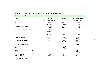| Dependent variable: current account to GDP |                                |                        |                                                  |  |
|--------------------------------------------|--------------------------------|------------------------|--------------------------------------------------|--|
| Variable                                   | Original<br>Macrobalance Model | Z score Model          | <b>Trade-Financial</b><br><b>Intensity Model</b> |  |
| Constant                                   | $-0.001$                       | 0.002                  | $-0.006$                                         |  |
|                                            | $(-0.159)$                     | (0.252)                | $(-0.880)$                                       |  |
| Relative old age dependency                | $-0.108$                       | $-0.106$               | $-0.008$                                         |  |
|                                            | $(-1.197)$                     | $(-1.376)$             | $(-0.108)$                                       |  |
| Relative population growth                 | $-0.613$<br>$(-1.324)$         |                        |                                                  |  |
| Relative income growth                     | $-0.719$                       | $-0.546$               | $-0.733$                                         |  |
|                                            | $(-2.030)$                     | $(-1.599)$             | $(-2.498)$                                       |  |
| Oil trade balance                          | 0.383                          | 0.406                  | 0.398                                            |  |
|                                            | (5.303)                        | (6.262)                | (6.158)                                          |  |
| Relative fiscal balance                    | 0.265                          | 0.166                  | 0.266                                            |  |
|                                            | (1.590)                        | (1.545)                | (2.162)                                          |  |
| Initial net foreign assets                 | 0.051                          | 0.060                  | 0.053                                            |  |
|                                            | (4.791)                        | (4.854)                | (4.472)                                          |  |
| $Z$ score                                  |                                | $-0.014$<br>$(-1.698)$ |                                                  |  |
| Trade to financial intensity ratio         |                                |                        | 0.004<br>(2.005)                                 |  |
| Number of observations                     | 795                            | 488                    | 698                                              |  |
| Adjusted $R^2$                             | 0.451                          | 0.467                  | 0.473                                            |  |

#### [Table 5. Estimation of Augmented Macroeconomic Balance Approach](#page-3-1)

Note: t-statistic in brackets

<span id="page-27-0"></span> $1$  Vitek (2010).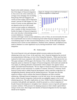<span id="page-28-0"></span>Based on the model estimates, we find that if the degree of financial integration in Asia were to be at the world norm, on average across emerging Asia (excluding Hong Kong SAR and Singapore), the current account surplus will be reduced by around 1 percent of GDP (Figure 37). The extent of current account adjustment does not depend on the size of the overall current account surplus (or imbalances) since a number of other structural factors besides the degree of financial integration also come into play in determining current account imbalances. Consequently,



countries with larger current account imbalances, such as China, are not necessarily the ones that would benefit most in terms of rebalancing from further financial integration due to overwhelming impact of other structural determinants at work. On the other hand, despite relatively lower current account imbalances, Thailand, Korea, Indonesia, and Malaysia may stand to rebalance in a more significant way by moving towards the "norm" of financial integration.

#### **[IV. CONCLUSION](#page-3-0)**

The recent financial crisis and subsequent global recession underscore the need for rebalancing in the case of Asia. At the same time, Asia's financial integration has received increasing attention following a revival of the Chiang Mai Initiative. While much has been explored on both issues separately, little analysis has been done on the link between the two. This paper attempts to fill this gap in the literature. First, it offers empirical evidence which frequently points to relatively low degree of financial integration, both inside and outside the Asia region, by offering alternative measurements which compare Asia against various simple and model-based benchmarks. The low degree of financial integration in Asia in part reflects capital account restrictions in a number of countries. However, a relatively closed financial system tends to inhibit financial development, which could then weigh down on strengthening domestic demand and the rebalancing process. The paper also provides empirical evidence which confirms that financial integration can foster economic rebalancing. Although financial integration is not the only factor, but one amongst many others, further financial integration could provide non-negligible support to the overall rebalancing process. The policy implications are clear. Further financial integration of Asian economies, both globally and regionally, should be pursued as a critical component of broader financial development to strengthen Asia's domestic sources of growth and improve economic resilience. With pressures for adopting measures to limit volatile capital inflows rising in recent years, these longer-term benefits of financial integration for the Asia region should not be forgotten.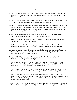#### **[REFERENCES](#page-3-0)**

- <span id="page-29-0"></span>Abiad, A., N. Oomes, and K. Ueda, 2004, "The Quality Effect: Does Financial Liberalization Improve the Allocation of Capital?" IMF Working Paper 04/112 (Washington: International Monetary Fund).
- Abiad, A., E. Detragiache, and T. Tressel, 2008, "A New Database of Financial Reforms," IMF Working Paper 08/266 (Washington: International Monetary Fund).
- Adam, K., T. Jappelli, A. Menichini, M. Padula, and M. Pagano, 2002, "Analyse, Compare, and Apply Alternative Indicators and Monitoring Methodologies to Measure the Evolution of Capital Market Integration in the European Union," Centre for Studies in Economics and Finance, University of Salerno, January 28.
- Ahearne, A., W. Griever and F. Warnock, 2004, "Information Costs and the Home Bias," *Journal of International Economics*, Vol. 62, No. 2, pp. 313–36.
- Anderson, J. E. and E. Van Wincoop, 2004, "Trade Costs," *Journal of Economic Literature*, Vol. 42, No. 3, (September), pp. 691–751.
- Baele, L., A. Ferrando, P. Hördal, E. Krylova, and C. Monnet, 2004, "Measuring Financial Integration in the Euro Area," *European Central Bank Occasional Paper Series*, No. 14.
- Bayoumi, T., T. Oni, A. Vamvakidis, and F. Vitek, forthcoming, "How Far Do Differenced in Financial Sector Regulation Drive Global Imbalances?" *IMF Staff Position Note* (Washington: International Monetary Fund).
- Blaise, S., 2009, "Japanese Aid as a Prerequisite for FDI: The Case of Southeast Asian Countries," *Asia Pacific Economic Papers*, No. 385.
- Chinn, M. D. and H. Ito, 2002, "Capital Account Liberalization, Institutions and Financial Development: Cross Country Evidence," NBER Working Papers No. 8967 (Cambridge, Massachusetts: National Bureau of Economic Research).
- Click, R. W. and M. G. Plummer, 2005, "Stock Market Integration in ASEAN after the Asian Financial Crisis," *Journal of Asian Economics*, Vol. 16, No. 1, (February), pp. 5–28.
- Cowen, D.and R. Salgado, 2006, "Globalization of Production and Financial Integration in Asia," *Financial Integration in Asia: Recent Developments and Next Steps*, ed. by D. Cowen, R. Salgado, H. Shah, L. Teo, and A. Zanello, IMF Working Paper 06/196 (Washington: International Monetary Fund).
- Dahlquist, M., L. Pinkowitz, R. Stulz, and R. Williamson, 2003, "Corporate Governance and the Home Bias," *Journal of Financial and Quantitative Analysis*, Vol. 38, No. 1, pp. 87–110.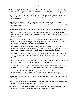- Di Giovanni, J., 2005, "What Drives Capital Flows? The Case of Cross-border M&A Activity and Financial Deepening," *Journal of International Economics*, Vol. 65, No. 1, pp. 127–49.
- Edison, H. J., R. Levine, L. Ricci, and T. Sløk, 2002: "International Financial Integration and Economic Growth," *Journal of International Money and Finance,* Vol. 21, No. 6, (November), pp. 749–76.
- Edwards, S., J. G. Biscarri, and F. P. de Gracia, 2003, "Stock Market Cycles, Financial Liberalization and Volatility," *Journal of International Money and Finance*, Vol. 22, No. 7, (December), pp. 925–55.

European Central Bank, 2005, *Indicators of Financial Integration in the Euro Area*, September.

- Felman, J., S. Gray, A. Jobst, S. Peiris, and D. Seneviratne, 2010, "ASEAN5 Bond Market Development: Where Does It Stand? Where is It Going?" *mimeo*, (Washington: International Monetary Fund).
- Fung, L. K., C. Tam and I. Yu, 2008, "Assessing the Integration of Asia's Equity and Bond Markets," in *Regional Financial Integration in East Asia: Present and Future*, BIS Papers No. 42, pp. 1–37 (Basle: Bank for International Settlements).
- Garcia-Herrero, A., D. Yang and P. Wooldridge, 2008, "Why is There So Little Regional Financial Integration in Asia?" in *Regional Financial Integration in East Asia: Present and Future*, BIS Papers No. 42, pp. 38–61 (Basle: Bank for International Settlements).
- Garcia-Herrero, A., P. Wooldridge and D. Y. Yang, 2009, "Why Don't Asians Invest in Asia? The Determinants of Cross-Border Portfolio Holdings," *Asian Economic Paper*, No. 8:3, pp. 228–46.
- Ghosh, S., 2006, "Did Financial Liberalization Ease Financing Constraint? Evidence from Indian Firm-Level Data," *Emerging Markets Review*, Vol. 7, pp. 176−190.
- Guo, K. and P. N'Diaye, 2010, "Determinants of China's Private Consumption: An International Perspective," IMF Working Paper 10/93 (Washington: International Monetary Fund).
- Haldane, A. G. and S. G. Hall, 1991, "Sterling's Relationship with the Dollar and the Deutschemark: 1976–89," *The Economic Journal*, Vol. 101, No. 406, (May), pp. 436–43.
- International Monetary Fund, 2010, *Regional Economic Outlook: Asia and Pacific* (Washington, October).
- Isard, P., 2007, "Equilibrium Exchange Rates: Assessment Methodologies," IMF Working Paper 07/296 (Washington: International Monetary Fund).
- Jain-Chandra, S., M. Nabar, and N. Porter, 2009, "Corporate Saving and Rebalancing in Asia," in *Regional Economic Outlook: Asia and Pacific* (Washington, October).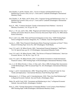- Jain-Chandra, S. and M. Chamon, 2011, "Access to Finance and Household Saving" in *Rebalancing Growth in Asia*, ed. by V. Arora and R. Cardarelli (Washington: International Monetary Fund).
- Jain-Chandra, S., M. Nabar, and N. Porter, 2011, Corporate Saving and Rebalancing in Asia," in *Rebalancing Growth in Asia*, ed. by V. Arora and R. Cardarelli (Washington: International Monetary Fund).
- Kasa, K., 1992, "Common Stochastic Trends in International Stock Markets," *Journal of Monetary Economics,* Vol. 29, pp. 95–124.
- Kim, S., J. W. Lee, and K. Shin, 2006, "Regional and Global Financial Integration in East Asia," *Institute of Economic Research, Korea University Discussion Paper Series,* No. 0602 (Seoul: Korea University).
- Kim, S. and J. Lee, 2008, "Real and Financial Integration in East Asia," ADB Working Paper Series on Regional Economic Integration, No. 17 (Manila: Asian Development Bank).
- Laeven, L., 2000, "Does Financial Liberalization Relax Financing Constraints on Firms?" *Policy Research Working Paper Series* No. 2467 (Washington: World Bank).
- Lane, P. R. and G. M. Milesi-Ferretti, 2003, "International Financial Integration," *Staff Papers*, Vol. 50, Special Issue, pp. 82–113 (Washington: International Monetary Fund).
- Lane, P. R. and G. M. Milesi-Ferretti, 2008, "The Drivers of Financial Globalization," *American Economic Review*, Vol. 98, No. 2, pp. 327–32.
- Lane, P. R. and G. M. Milesi-Ferretti, 2010, "Cross-Border Investment in Small International Financial Centers," IMF Working Paper 10/38 (Washington: International Monetary Fund).
- Lee, J., G. M. Milesi-Ferretti, J. Ostry, A. Prati, and L. Ricci, 2008, *Exchange Rate Assessments: CGER Methodologies,* IMF Occasional Paper No. 261 (Washington: International Monetary Fund).
- Leung, C. and O. Unteroberdoerster, 2008, "Hong Kong SAR as a Financial Center for Asia: Trends and Implications," *International Monetary Fund Working Paper* 08/57.
- Mohommad*,* A., P. N'Diaye, and O. Unteroberdoerster, 2010, "Does Asia Need Rebalancing?" in *Regional Economic Outlook: Asia and Pacific*, (Washington, May).
- Nabar, M. and M. Syed, 2010, "Investment and Rebalancing in Asia," in *Regional Economic Outlook: Asia and Pacific*, (Washington: October).
- Peiris, S., 2010, "Foreign Participation in Emerging Markets' Local Currency Bond Markets," IMF Working Paper 10/88 (Washington: International Monetary Fund).